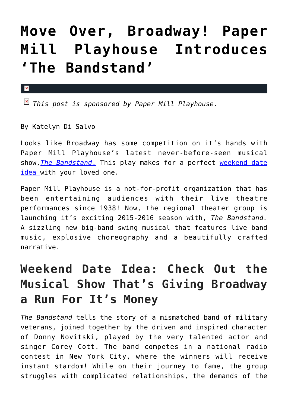## **[Move Over, Broadway! Paper](https://cupidspulse.com/100070/weekend-date-idea-paper-mill-playhouse/) [Mill Playhouse Introduces](https://cupidspulse.com/100070/weekend-date-idea-paper-mill-playhouse/) ['The Bandstand'](https://cupidspulse.com/100070/weekend-date-idea-paper-mill-playhouse/)**

*This post is sponsored by Paper Mill Playhouse.*

By Katelyn Di Salvo

 $\pmb{\times}$ 

Looks like Broadway has some competition on it's hands with Paper Mill Playhouse's latest never-before-seen musical show,*[The Bandstand](https://www.youtube.com/watch?v=3_smyy42JHU)*[.](https://www.youtube.com/watch?v=3_smyy42JHU) This play makes for a perfect [weekend date](http://cupidspulse.com/dating/date-ideas/) [idea](http://cupidspulse.com/dating/date-ideas/) with your loved one.

Paper Mill Playhouse is a not-for-profit organization that has been entertaining audiences with their live theatre performances since 1938! Now, the regional theater group is launching it's exciting 2015-2016 season with, *The Bandstand.* A sizzling new big-band swing musical that features live band music, explosive choreography and a beautifully crafted narrative.

## **Weekend Date Idea: Check Out the Musical Show That's Giving Broadway a Run For It's Money**

*The Bandstand* tells the story of a mismatched band of military veterans, joined together by the driven and inspired character of Donny Novitski, played by the very talented actor and singer Corey Cott. The band competes in a national radio contest in New York City, where the winners will receive instant stardom! While on their journey to fame, the group struggles with complicated relationships, the demands of the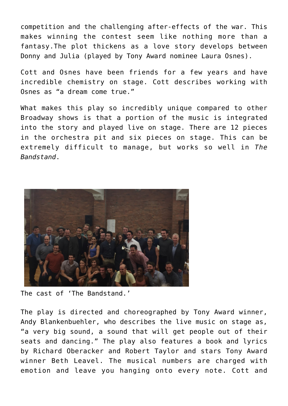competition and the challenging after-effects of the war. This makes winning the contest seem like nothing more than a fantasy.The plot thickens as a love story develops between Donny and Julia (played by Tony Award nominee Laura Osnes).

Cott and Osnes have been friends for a few years and have incredible chemistry on stage. Cott describes working with Osnes as "a dream come true."

What makes this play so incredibly unique compared to other Broadway shows is that a portion of the music is integrated into the story and played live on stage. There are 12 pieces in the orchestra pit and six pieces on stage. This can be extremely difficult to manage, but works so well in *The Bandstand*.



The cast of 'The Bandstand.'

The play is directed and choreographed by Tony Award winner, Andy Blankenbuehler, who describes the live music on stage as, "a very big sound, a sound that will get people out of their seats and dancing." The play also features a book and lyrics by Richard Oberacker and Robert Taylor and stars Tony Award winner Beth Leavel. The musical numbers are charged with emotion and leave you hanging onto every note. Cott and